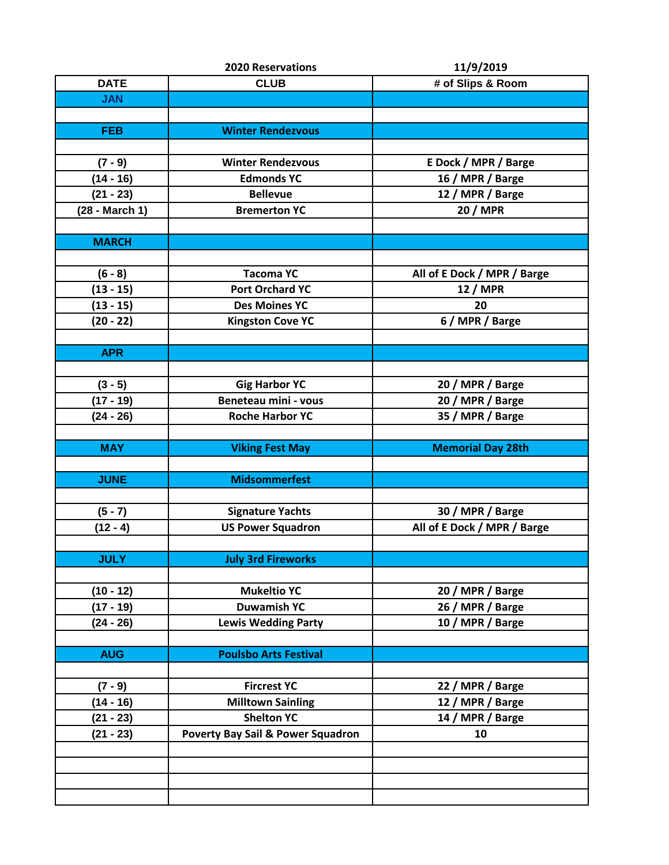|                | <b>2020 Reservations</b>                     | 11/9/2019                   |
|----------------|----------------------------------------------|-----------------------------|
| <b>DATE</b>    | <b>CLUB</b>                                  | # of Slips & Room           |
| <b>JAN</b>     |                                              |                             |
|                |                                              |                             |
| <b>FEB</b>     | <b>Winter Rendezvous</b>                     |                             |
|                |                                              |                             |
| $(7 - 9)$      | <b>Winter Rendezvous</b>                     | E Dock / MPR / Barge        |
| $(14 - 16)$    | <b>Edmonds YC</b>                            | 16 / MPR / Barge            |
| $(21 - 23)$    | <b>Bellevue</b>                              | 12 / MPR / Barge            |
| (28 - March 1) | <b>Bremerton YC</b>                          | <b>20 / MPR</b>             |
|                |                                              |                             |
| <b>MARCH</b>   |                                              |                             |
|                |                                              |                             |
| $(6 - 8)$      | <b>Tacoma YC</b>                             | All of E Dock / MPR / Barge |
| $(13 - 15)$    | <b>Port Orchard YC</b>                       | <b>12 / MPR</b>             |
| $(13 - 15)$    | <b>Des Moines YC</b>                         | 20                          |
| $(20 - 22)$    | <b>Kingston Cove YC</b>                      | 6 / MPR / Barge             |
|                |                                              |                             |
| <b>APR</b>     |                                              |                             |
|                |                                              |                             |
| $(3 - 5)$      | <b>Gig Harbor YC</b>                         | 20 / MPR / Barge            |
| $(17 - 19)$    | <b>Beneteau mini - vous</b>                  | 20 / MPR / Barge            |
| $(24 - 26)$    | <b>Roche Harbor YC</b>                       | 35 / MPR / Barge            |
|                |                                              |                             |
| <b>MAY</b>     |                                              | <b>Memorial Day 28th</b>    |
|                | <b>Viking Fest May</b>                       |                             |
| <b>JUNE</b>    | <b>Midsommerfest</b>                         |                             |
|                |                                              |                             |
|                |                                              |                             |
| $(5 - 7)$      | <b>Signature Yachts</b>                      | 30 / MPR / Barge            |
| $(12 - 4)$     | <b>US Power Squadron</b>                     | All of E Dock / MPR / Barge |
|                |                                              |                             |
| <b>JULY</b>    | <b>July 3rd Fireworks</b>                    |                             |
|                |                                              |                             |
| $(10 - 12)$    | <b>Mukeltio YC</b>                           | 20 / MPR / Barge            |
| $(17 - 19)$    | <b>Duwamish YC</b>                           | 26 / MPR / Barge            |
| $(24 - 26)$    | <b>Lewis Wedding Party</b>                   | 10 / MPR / Barge            |
|                |                                              |                             |
| <b>AUG</b>     | <b>Poulsbo Arts Festival</b>                 |                             |
|                |                                              |                             |
| $(7 - 9)$      | <b>Fircrest YC</b>                           | 22 / MPR / Barge            |
| $(14 - 16)$    | <b>Milltown Sainling</b>                     | 12 / MPR / Barge            |
| $(21 - 23)$    | <b>Shelton YC</b>                            | 14 / MPR / Barge            |
| $(21 - 23)$    | <b>Poverty Bay Sail &amp; Power Squadron</b> | 10                          |
|                |                                              |                             |
|                |                                              |                             |
|                |                                              |                             |
|                |                                              |                             |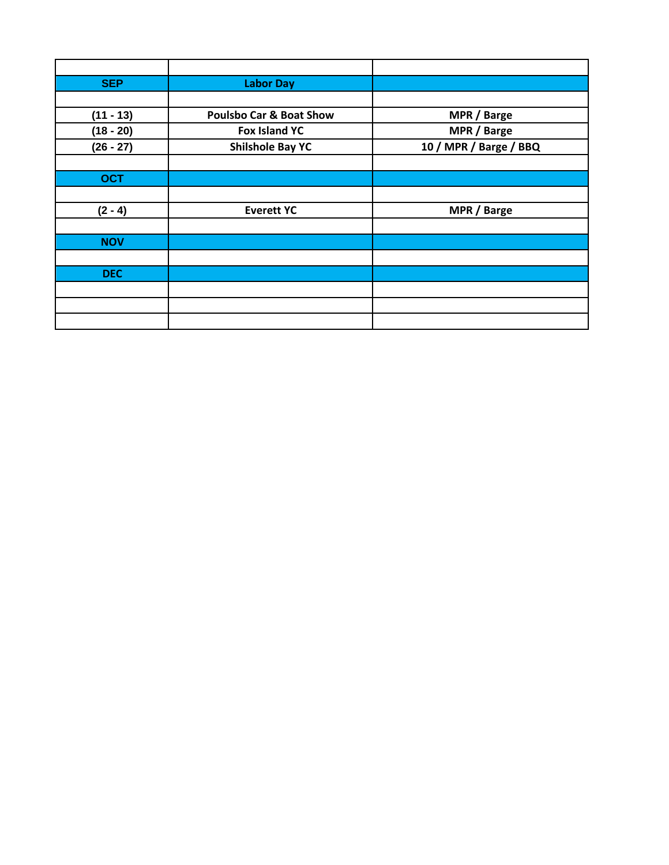| <b>SEP</b>  | <b>Labor Day</b>                   |                        |
|-------------|------------------------------------|------------------------|
|             |                                    |                        |
| $(11 - 13)$ | <b>Poulsbo Car &amp; Boat Show</b> | MPR / Barge            |
| $(18 - 20)$ | <b>Fox Island YC</b>               | MPR / Barge            |
| $(26 - 27)$ | <b>Shilshole Bay YC</b>            | 10 / MPR / Barge / BBQ |
|             |                                    |                        |
| <b>OCT</b>  |                                    |                        |
|             |                                    |                        |
| $(2 - 4)$   | <b>Everett YC</b>                  | MPR / Barge            |
|             |                                    |                        |
| <b>NOV</b>  |                                    |                        |
|             |                                    |                        |
| <b>DEC</b>  |                                    |                        |
|             |                                    |                        |
|             |                                    |                        |
|             |                                    |                        |